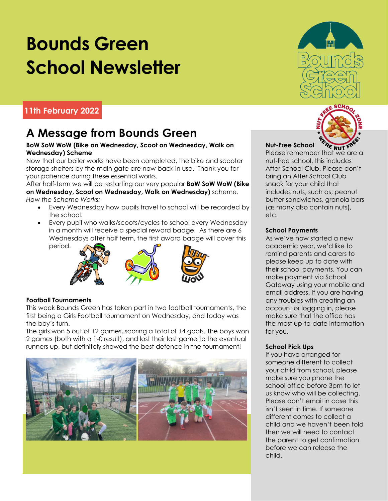# **Bounds Green School Newsletter**

#### **11th February 2022**

### **A Message from Bounds Green**

#### **BoW SoW WoW (Bike on Wednesday, Scoot on Wednesday, Walk on Wednesday) Scheme**

Now that our boiler works have been completed, the bike and scooter storage shelters by the main gate are now back in use. Thank you for your patience during these essential works.

After half-term we will be restarting our very popular **BoW SoW WoW (Bike on Wednesday, Scoot on Wednesday, Walk on Wednesday)** scheme. *How the Scheme Works:*

- Every Wednesday how pupils travel to school will be recorded by the school.
- Every pupil who walks/scoots/cycles to school every Wednesday in a month will receive a special reward badge. As there are 6 Wednesdays after half term, the first award badge will cover this period.





#### **Football Tournaments**

This week Bounds Green has taken part in two football tournaments, the first being a Girls Football tournament on Wednesday, and today was the boy's turn.

The girls won 5 out of 12 games, scoring a total of 14 goals. The boys won 2 games (both with a 1-0 result), and lost their last game to the eventual runners up, but definitely showed the best defence in the tournament!







#### **Nut-Free School** Please remember that we are a nut-free school, this includes After School Club. Please don't bring an After School Club snack for your child that includes nuts, such as; peanut butter sandwiches, granola bars (as many also contain nuts), etc.

#### **School Payments**

As we've now started a new academic year, we'd like to remind parents and carers to please keep up to date with their school payments. You can make payment via School Gateway using your mobile and email address. If you are having any troubles with creating an account or logging in, please make sure that the office has the most up-to-date information for you.

#### **School Pick Ups**

If you have arranged for someone different to collect your child from school, please make sure you phone the school office before 3pm to let us know who will be collecting. Please don't email in case this isn't seen in time. If someone different comes to collect a child and we haven't been told then we will need to contact the parent to get confirmation before we can release the child.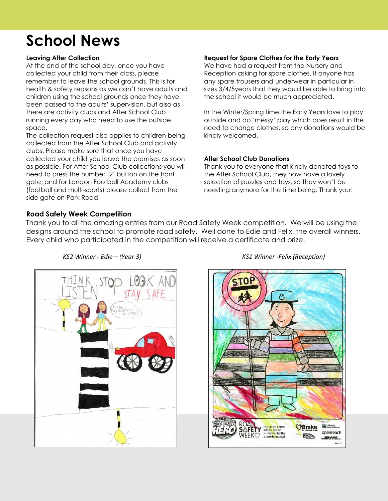### **School News**

#### **Leaving After Collection**

At the end of the school day, once you have collected your child from their class, please remember to leave the school grounds. This is for health & safety reasons as we can't have adults and children using the school grounds once they have been passed to the adults' supervision, but also as there are activity clubs and After School Club running every day who need to use the outside space.

The collection request also applies to children being collected from the After School Club and activity clubs. Please make sure that once you have collected your child you leave the premises as soon as possible. For After School Club collections you will need to press the number '2' button on the front gate, and for London Football Academy clubs (football and multi-sports) please collect from the side gate on Park Road.

#### **Request for Spare Clothes for the Early Years**

We have had a request from the Nursery and Reception asking for spare clothes. If anyone has any spare trousers and underwear in particular in sizes 3/4/5years that they would be able to bring into the school it would be much appreciated.

In the Winter/Spring time the Early Years love to play outside and do 'messy' play which does result in the need to change clothes, so any donations would be kindly welcomed.

#### **After School Club Donations**

Thank you to everyone that kindly donated toys to the After School Club, they now have a lovely selection of puzzles and toys, so they won't be needing anymore for the time being. Thank you!

#### **Road Safety Week Competition**

Thank you to all the amazing entries from our Road Safety Week competition. We will be using the designs around the school to promote road safety. Well done to Edie and Felix, the overall winners. Every child who participated in the competition will receive a certificate and prize.





#### *KS2 Winner - Edie – (Year 3) KS1 Winner -Felix (Reception)*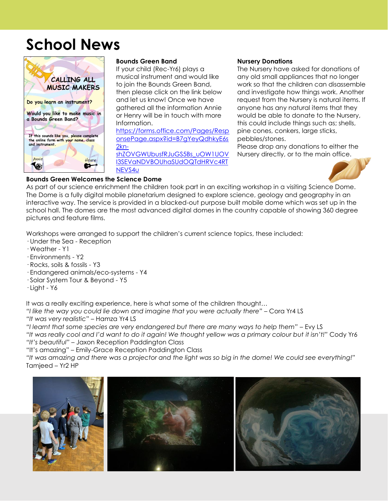### **School News**



#### **Bounds Green Band**

If your child (Rec-Yr6) plays a musical instrument and would like to join the Bounds Green Band, then please click on the link below and let us know! Once we have gathered all the information Annie or Henry will be in touch with more Information.

[https://forms.office.com/Pages/Resp](https://forms.office.com/Pages/ResponsePage.aspx?id=B7gYeyQdhkyE6s2kn-shZOVGWUbusfRJuGS5Bs_uOW1UOVI3SEVaNDVBOUhaSUdOQTdHRVc4RTNEVS4u) [onsePage.aspx?id=B7gYeyQdhkyE6s](https://forms.office.com/Pages/ResponsePage.aspx?id=B7gYeyQdhkyE6s2kn-shZOVGWUbusfRJuGS5Bs_uOW1UOVI3SEVaNDVBOUhaSUdOQTdHRVc4RTNEVS4u) [2kn-](https://forms.office.com/Pages/ResponsePage.aspx?id=B7gYeyQdhkyE6s2kn-shZOVGWUbusfRJuGS5Bs_uOW1UOVI3SEVaNDVBOUhaSUdOQTdHRVc4RTNEVS4u)

[shZOVGWUbusfRJuGS5Bs\\_uOW1UOV](https://forms.office.com/Pages/ResponsePage.aspx?id=B7gYeyQdhkyE6s2kn-shZOVGWUbusfRJuGS5Bs_uOW1UOVI3SEVaNDVBOUhaSUdOQTdHRVc4RTNEVS4u) [I3SEVaNDVBOUhaSUdOQTdHRVc4RT](https://forms.office.com/Pages/ResponsePage.aspx?id=B7gYeyQdhkyE6s2kn-shZOVGWUbusfRJuGS5Bs_uOW1UOVI3SEVaNDVBOUhaSUdOQTdHRVc4RTNEVS4u) [NEVS4u](https://forms.office.com/Pages/ResponsePage.aspx?id=B7gYeyQdhkyE6s2kn-shZOVGWUbusfRJuGS5Bs_uOW1UOVI3SEVaNDVBOUhaSUdOQTdHRVc4RTNEVS4u)

#### **Nursery Donations**

The Nursery have asked for donations of any old small appliances that no longer work so that the children can disassemble and investigate how things work. Another request from the Nursery is natural items. If anyone has any natural items that they would be able to donate to the Nursery, this could include things such as; shells, pine cones, conkers, large sticks, pebbles/stones.

Please drop any donations to either the Nursery directly, or to the main office.



#### **Bounds Green Welcomes the Science Dome**

As part of our science enrichment the children took part in an exciting workshop in a visiting Science Dome. The Dome is a fully digital mobile planetarium designed to explore science, geology and geography in an interactive way. The service is provided in a blacked-out purpose built mobile dome which was set up in the school hall. The domes are the most advanced digital domes in the country capable of showing 360 degree pictures and feature films.

Workshops were arranged to support the children's current science topics, these included:

- · Under the Sea Reception
- · Weather Y1
- · Environments Y2
- · Rocks, soils & fossils Y3
- · Endangered animals/eco-systems Y4
- · Solar System Tour & Beyond Y5
- · Light Y6

It was a really exciting experience, here is what some of the children thought…

*"I like the way you could lie down and imagine that you were actually there"* – Cora Yr4 LS

*"It was very realistic*" – Hamza Yr4 LS

*"I learnt that some species are very endangered but there are many ways to help them"* – Evy LS

*"It was really cool and I'd want to do it again! We thought yellow was a primary colour but it isn't!"* Cody Yr6 *"It's beautiful"* – Jaxon Reception Paddington Class

"It's amazing" – Emily-Grace Reception Paddington Class

*"It was amazing and there was a projector and the light was so big in the dome! We could see everything!"* Tamjeed – Yr2 HP